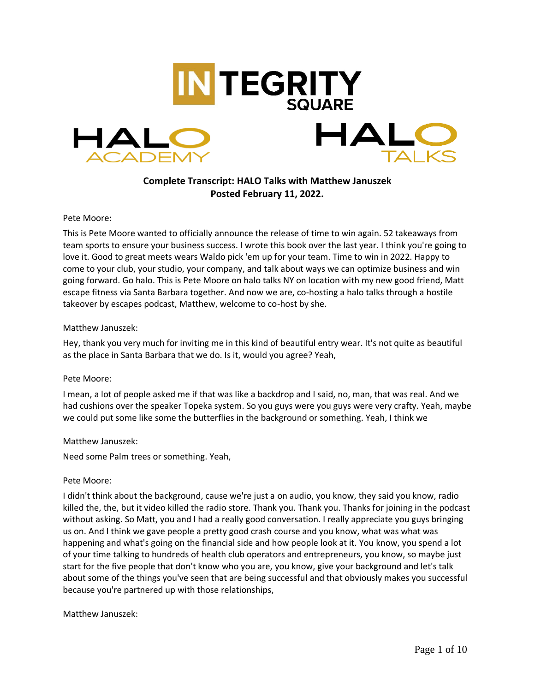

# **Complete Transcript: HALO Talks with Matthew Januszek Posted February 11, 2022.**

### Pete Moore:

This is Pete Moore wanted to officially announce the release of time to win again. 52 takeaways from team sports to ensure your business success. I wrote this book over the last year. I think you're going to love it. Good to great meets wears Waldo pick 'em up for your team. Time to win in 2022. Happy to come to your club, your studio, your company, and talk about ways we can optimize business and win going forward. Go halo. This is Pete Moore on halo talks NY on location with my new good friend, Matt escape fitness via Santa Barbara together. And now we are, co-hosting a halo talks through a hostile takeover by escapes podcast, Matthew, welcome to co-host by she.

### Matthew Januszek:

Hey, thank you very much for inviting me in this kind of beautiful entry wear. It's not quite as beautiful as the place in Santa Barbara that we do. Is it, would you agree? Yeah,

#### Pete Moore:

I mean, a lot of people asked me if that was like a backdrop and I said, no, man, that was real. And we had cushions over the speaker Topeka system. So you guys were you guys were very crafty. Yeah, maybe we could put some like some the butterflies in the background or something. Yeah, I think we

# Matthew Januszek:

Need some Palm trees or something. Yeah,

#### Pete Moore:

I didn't think about the background, cause we're just a on audio, you know, they said you know, radio killed the, the, but it video killed the radio store. Thank you. Thank you. Thanks for joining in the podcast without asking. So Matt, you and I had a really good conversation. I really appreciate you guys bringing us on. And I think we gave people a pretty good crash course and you know, what was what was happening and what's going on the financial side and how people look at it. You know, you spend a lot of your time talking to hundreds of health club operators and entrepreneurs, you know, so maybe just start for the five people that don't know who you are, you know, give your background and let's talk about some of the things you've seen that are being successful and that obviously makes you successful because you're partnered up with those relationships,

#### Matthew Januszek: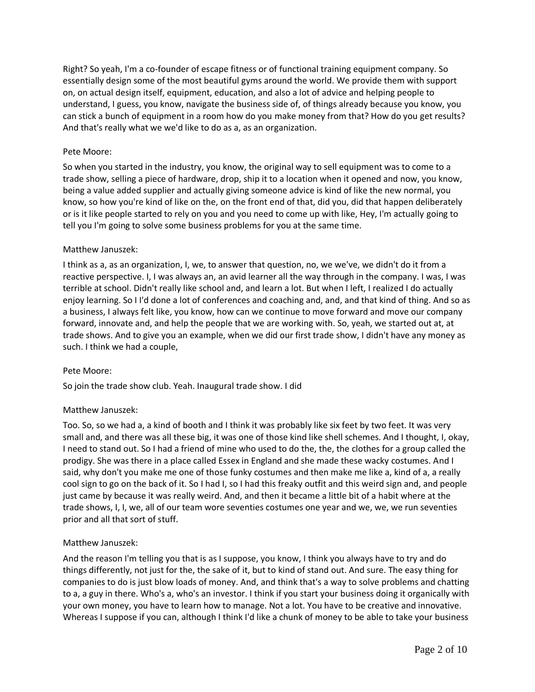Right? So yeah, I'm a co-founder of escape fitness or of functional training equipment company. So essentially design some of the most beautiful gyms around the world. We provide them with support on, on actual design itself, equipment, education, and also a lot of advice and helping people to understand, I guess, you know, navigate the business side of, of things already because you know, you can stick a bunch of equipment in a room how do you make money from that? How do you get results? And that's really what we we'd like to do as a, as an organization.

# Pete Moore:

So when you started in the industry, you know, the original way to sell equipment was to come to a trade show, selling a piece of hardware, drop, ship it to a location when it opened and now, you know, being a value added supplier and actually giving someone advice is kind of like the new normal, you know, so how you're kind of like on the, on the front end of that, did you, did that happen deliberately or is it like people started to rely on you and you need to come up with like, Hey, I'm actually going to tell you I'm going to solve some business problems for you at the same time.

### Matthew Januszek:

I think as a, as an organization, I, we, to answer that question, no, we we've, we didn't do it from a reactive perspective. I, I was always an, an avid learner all the way through in the company. I was, I was terrible at school. Didn't really like school and, and learn a lot. But when I left, I realized I do actually enjoy learning. So I I'd done a lot of conferences and coaching and, and, and that kind of thing. And so as a business, I always felt like, you know, how can we continue to move forward and move our company forward, innovate and, and help the people that we are working with. So, yeah, we started out at, at trade shows. And to give you an example, when we did our first trade show, I didn't have any money as such. I think we had a couple,

#### Pete Moore:

So join the trade show club. Yeah. Inaugural trade show. I did

# Matthew Januszek:

Too. So, so we had a, a kind of booth and I think it was probably like six feet by two feet. It was very small and, and there was all these big, it was one of those kind like shell schemes. And I thought, I, okay, I need to stand out. So I had a friend of mine who used to do the, the, the clothes for a group called the prodigy. She was there in a place called Essex in England and she made these wacky costumes. And I said, why don't you make me one of those funky costumes and then make me like a, kind of a, a really cool sign to go on the back of it. So I had I, so I had this freaky outfit and this weird sign and, and people just came by because it was really weird. And, and then it became a little bit of a habit where at the trade shows, I, I, we, all of our team wore seventies costumes one year and we, we, we run seventies prior and all that sort of stuff.

# Matthew Januszek:

And the reason I'm telling you that is as I suppose, you know, I think you always have to try and do things differently, not just for the, the sake of it, but to kind of stand out. And sure. The easy thing for companies to do is just blow loads of money. And, and think that's a way to solve problems and chatting to a, a guy in there. Who's a, who's an investor. I think if you start your business doing it organically with your own money, you have to learn how to manage. Not a lot. You have to be creative and innovative. Whereas I suppose if you can, although I think I'd like a chunk of money to be able to take your business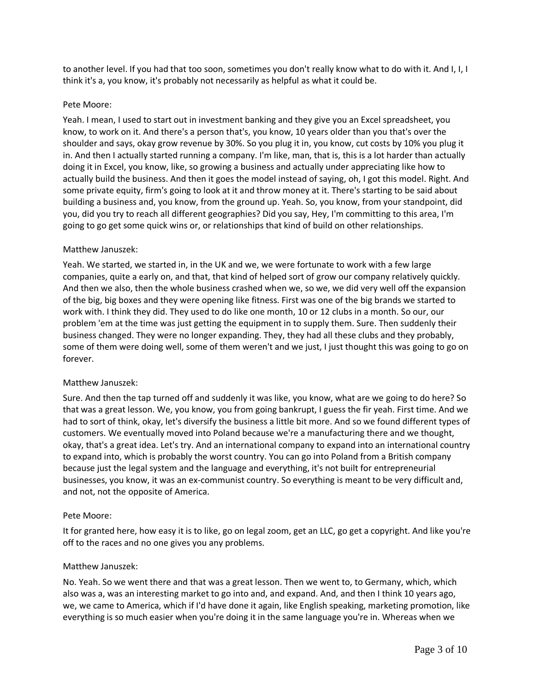to another level. If you had that too soon, sometimes you don't really know what to do with it. And I, I, I think it's a, you know, it's probably not necessarily as helpful as what it could be.

# Pete Moore:

Yeah. I mean, I used to start out in investment banking and they give you an Excel spreadsheet, you know, to work on it. And there's a person that's, you know, 10 years older than you that's over the shoulder and says, okay grow revenue by 30%. So you plug it in, you know, cut costs by 10% you plug it in. And then I actually started running a company. I'm like, man, that is, this is a lot harder than actually doing it in Excel, you know, like, so growing a business and actually under appreciating like how to actually build the business. And then it goes the model instead of saying, oh, I got this model. Right. And some private equity, firm's going to look at it and throw money at it. There's starting to be said about building a business and, you know, from the ground up. Yeah. So, you know, from your standpoint, did you, did you try to reach all different geographies? Did you say, Hey, I'm committing to this area, I'm going to go get some quick wins or, or relationships that kind of build on other relationships.

### Matthew Januszek:

Yeah. We started, we started in, in the UK and we, we were fortunate to work with a few large companies, quite a early on, and that, that kind of helped sort of grow our company relatively quickly. And then we also, then the whole business crashed when we, so we, we did very well off the expansion of the big, big boxes and they were opening like fitness. First was one of the big brands we started to work with. I think they did. They used to do like one month, 10 or 12 clubs in a month. So our, our problem 'em at the time was just getting the equipment in to supply them. Sure. Then suddenly their business changed. They were no longer expanding. They, they had all these clubs and they probably, some of them were doing well, some of them weren't and we just, I just thought this was going to go on forever.

#### Matthew Januszek:

Sure. And then the tap turned off and suddenly it was like, you know, what are we going to do here? So that was a great lesson. We, you know, you from going bankrupt, I guess the fir yeah. First time. And we had to sort of think, okay, let's diversify the business a little bit more. And so we found different types of customers. We eventually moved into Poland because we're a manufacturing there and we thought, okay, that's a great idea. Let's try. And an international company to expand into an international country to expand into, which is probably the worst country. You can go into Poland from a British company because just the legal system and the language and everything, it's not built for entrepreneurial businesses, you know, it was an ex-communist country. So everything is meant to be very difficult and, and not, not the opposite of America.

#### Pete Moore:

It for granted here, how easy it is to like, go on legal zoom, get an LLC, go get a copyright. And like you're off to the races and no one gives you any problems.

#### Matthew Januszek:

No. Yeah. So we went there and that was a great lesson. Then we went to, to Germany, which, which also was a, was an interesting market to go into and, and expand. And, and then I think 10 years ago, we, we came to America, which if I'd have done it again, like English speaking, marketing promotion, like everything is so much easier when you're doing it in the same language you're in. Whereas when we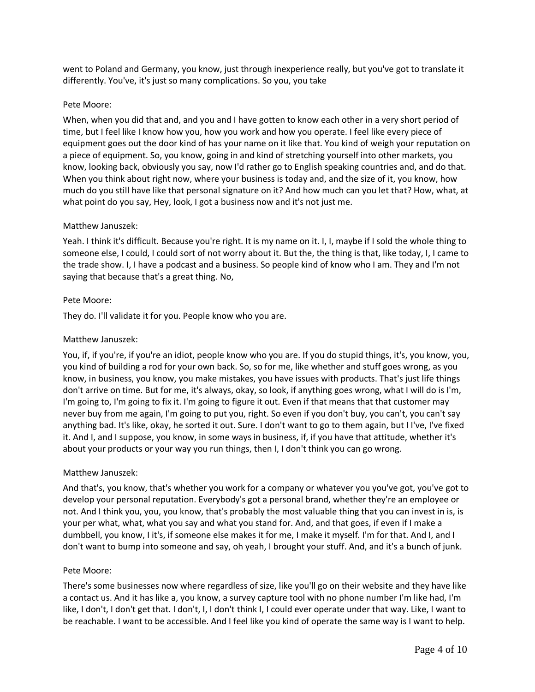went to Poland and Germany, you know, just through inexperience really, but you've got to translate it differently. You've, it's just so many complications. So you, you take

# Pete Moore:

When, when you did that and, and you and I have gotten to know each other in a very short period of time, but I feel like I know how you, how you work and how you operate. I feel like every piece of equipment goes out the door kind of has your name on it like that. You kind of weigh your reputation on a piece of equipment. So, you know, going in and kind of stretching yourself into other markets, you know, looking back, obviously you say, now I'd rather go to English speaking countries and, and do that. When you think about right now, where your business is today and, and the size of it, you know, how much do you still have like that personal signature on it? And how much can you let that? How, what, at what point do you say, Hey, look, I got a business now and it's not just me.

### Matthew Januszek:

Yeah. I think it's difficult. Because you're right. It is my name on it. I, I, maybe if I sold the whole thing to someone else, I could, I could sort of not worry about it. But the, the thing is that, like today, I, I came to the trade show. I, I have a podcast and a business. So people kind of know who I am. They and I'm not saying that because that's a great thing. No,

### Pete Moore:

They do. I'll validate it for you. People know who you are.

### Matthew Januszek:

You, if, if you're, if you're an idiot, people know who you are. If you do stupid things, it's, you know, you, you kind of building a rod for your own back. So, so for me, like whether and stuff goes wrong, as you know, in business, you know, you make mistakes, you have issues with products. That's just life things don't arrive on time. But for me, it's always, okay, so look, if anything goes wrong, what I will do is I'm, I'm going to, I'm going to fix it. I'm going to figure it out. Even if that means that that customer may never buy from me again, I'm going to put you, right. So even if you don't buy, you can't, you can't say anything bad. It's like, okay, he sorted it out. Sure. I don't want to go to them again, but I I've, I've fixed it. And I, and I suppose, you know, in some ways in business, if, if you have that attitude, whether it's about your products or your way you run things, then I, I don't think you can go wrong.

# Matthew Januszek:

And that's, you know, that's whether you work for a company or whatever you you've got, you've got to develop your personal reputation. Everybody's got a personal brand, whether they're an employee or not. And I think you, you, you know, that's probably the most valuable thing that you can invest in is, is your per what, what, what you say and what you stand for. And, and that goes, if even if I make a dumbbell, you know, I it's, if someone else makes it for me, I make it myself. I'm for that. And I, and I don't want to bump into someone and say, oh yeah, I brought your stuff. And, and it's a bunch of junk.

#### Pete Moore:

There's some businesses now where regardless of size, like you'll go on their website and they have like a contact us. And it has like a, you know, a survey capture tool with no phone number I'm like had, I'm like, I don't, I don't get that. I don't, I, I don't think I, I could ever operate under that way. Like, I want to be reachable. I want to be accessible. And I feel like you kind of operate the same way is I want to help.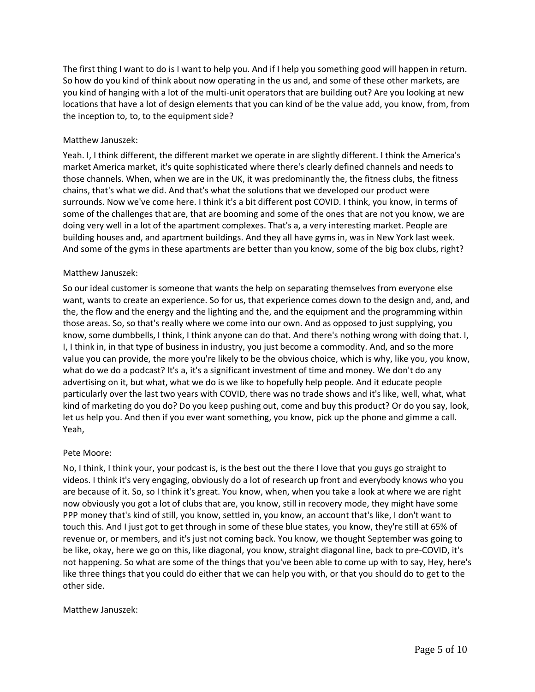The first thing I want to do is I want to help you. And if I help you something good will happen in return. So how do you kind of think about now operating in the us and, and some of these other markets, are you kind of hanging with a lot of the multi-unit operators that are building out? Are you looking at new locations that have a lot of design elements that you can kind of be the value add, you know, from, from the inception to, to, to the equipment side?

# Matthew Januszek:

Yeah. I, I think different, the different market we operate in are slightly different. I think the America's market America market, it's quite sophisticated where there's clearly defined channels and needs to those channels. When, when we are in the UK, it was predominantly the, the fitness clubs, the fitness chains, that's what we did. And that's what the solutions that we developed our product were surrounds. Now we've come here. I think it's a bit different post COVID. I think, you know, in terms of some of the challenges that are, that are booming and some of the ones that are not you know, we are doing very well in a lot of the apartment complexes. That's a, a very interesting market. People are building houses and, and apartment buildings. And they all have gyms in, was in New York last week. And some of the gyms in these apartments are better than you know, some of the big box clubs, right?

# Matthew Januszek:

So our ideal customer is someone that wants the help on separating themselves from everyone else want, wants to create an experience. So for us, that experience comes down to the design and, and, and the, the flow and the energy and the lighting and the, and the equipment and the programming within those areas. So, so that's really where we come into our own. And as opposed to just supplying, you know, some dumbbells, I think, I think anyone can do that. And there's nothing wrong with doing that. I, I, I think in, in that type of business in industry, you just become a commodity. And, and so the more value you can provide, the more you're likely to be the obvious choice, which is why, like you, you know, what do we do a podcast? It's a, it's a significant investment of time and money. We don't do any advertising on it, but what, what we do is we like to hopefully help people. And it educate people particularly over the last two years with COVID, there was no trade shows and it's like, well, what, what kind of marketing do you do? Do you keep pushing out, come and buy this product? Or do you say, look, let us help you. And then if you ever want something, you know, pick up the phone and gimme a call. Yeah,

# Pete Moore:

No, I think, I think your, your podcast is, is the best out the there I love that you guys go straight to videos. I think it's very engaging, obviously do a lot of research up front and everybody knows who you are because of it. So, so I think it's great. You know, when, when you take a look at where we are right now obviously you got a lot of clubs that are, you know, still in recovery mode, they might have some PPP money that's kind of still, you know, settled in, you know, an account that's like, I don't want to touch this. And I just got to get through in some of these blue states, you know, they're still at 65% of revenue or, or members, and it's just not coming back. You know, we thought September was going to be like, okay, here we go on this, like diagonal, you know, straight diagonal line, back to pre-COVID, it's not happening. So what are some of the things that you've been able to come up with to say, Hey, here's like three things that you could do either that we can help you with, or that you should do to get to the other side.

# Matthew Januszek: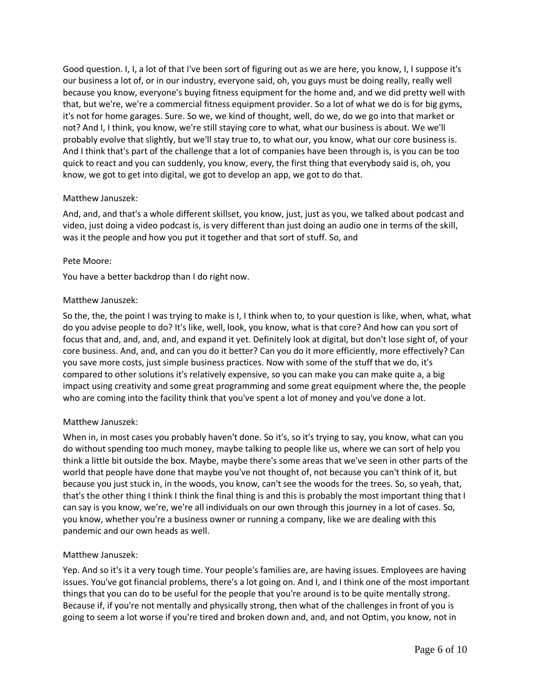Good question. I, I, a lot of that I've been sort of figuring out as we are here, you know, I, I suppose it's our business a lot of, or in our industry, everyone said, oh, you guys must be doing really, really well because you know, everyone's buying fitness equipment for the home and, and we did pretty well with that, but we're, we're a commercial fitness equipment provider. So a lot of what we do is for big gyms, it's not for home garages. Sure. So we, we kind of thought, well, do we, do we go into that market or not? And I, I think, you know, we're still staying core to what, what our business is about. We we'll probably evolve that slightly, but we'll stay true to, to what our, you know, what our core business is. And I think that's part of the challenge that a lot of companies have been through is, is you can be too quick to react and you can suddenly, you know, every, the first thing that everybody said is, oh, you know, we got to get into digital, we got to develop an app, we got to do that.

# Matthew Januszek:

And, and, and that's a whole different skillset, you know, just, just as you, we talked about podcast and video, just doing a video podcast is, is very different than just doing an audio one in terms of the skill, was it the people and how you put it together and that sort of stuff. So, and

### Pete Moore:

You have a better backdrop than I do right now.

# Matthew Januszek:

So the, the, the point I was trying to make is I, I think when to, to your question is like, when, what, what do you advise people to do? It's like, well, look, you know, what is that core? And how can you sort of focus that and, and, and, and, and expand it yet. Definitely look at digital, but don't lose sight of, of your core business. And, and, and can you do it better? Can you do it more efficiently, more effectively? Can you save more costs, just simple business practices. Now with some of the stuff that we do, it's compared to other solutions it's relatively expensive, so you can make you can make quite a, a big impact using creativity and some great programming and some great equipment where the, the people who are coming into the facility think that you've spent a lot of money and you've done a lot.

# Matthew Januszek:

When in, in most cases you probably haven't done. So it's, so it's trying to say, you know, what can you do without spending too much money, maybe talking to people like us, where we can sort of help you think a little bit outside the box. Maybe, maybe there's some areas that we've seen in other parts of the world that people have done that maybe you've not thought of, not because you can't think of it, but because you just stuck in, in the woods, you know, can't see the woods for the trees. So, so yeah, that, that's the other thing I think I think the final thing is and this is probably the most important thing that I can say is you know, we're, we're all individuals on our own through this journey in a lot of cases. So, you know, whether you're a business owner or running a company, like we are dealing with this pandemic and our own heads as well.

# Matthew Januszek:

Yep. And so it's it a very tough time. Your people's families are, are having issues. Employees are having issues. You've got financial problems, there's a lot going on. And I, and I think one of the most important things that you can do to be useful for the people that you're around is to be quite mentally strong. Because if, if you're not mentally and physically strong, then what of the challenges in front of you is going to seem a lot worse if you're tired and broken down and, and, and not Optim, you know, not in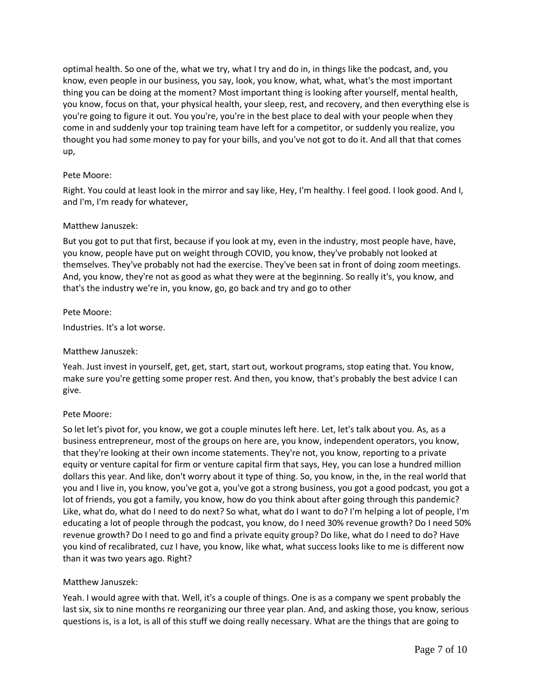optimal health. So one of the, what we try, what I try and do in, in things like the podcast, and, you know, even people in our business, you say, look, you know, what, what, what's the most important thing you can be doing at the moment? Most important thing is looking after yourself, mental health, you know, focus on that, your physical health, your sleep, rest, and recovery, and then everything else is you're going to figure it out. You you're, you're in the best place to deal with your people when they come in and suddenly your top training team have left for a competitor, or suddenly you realize, you thought you had some money to pay for your bills, and you've not got to do it. And all that that comes up,

# Pete Moore:

Right. You could at least look in the mirror and say like, Hey, I'm healthy. I feel good. I look good. And I, and I'm, I'm ready for whatever,

### Matthew Januszek:

But you got to put that first, because if you look at my, even in the industry, most people have, have, you know, people have put on weight through COVID, you know, they've probably not looked at themselves. They've probably not had the exercise. They've been sat in front of doing zoom meetings. And, you know, they're not as good as what they were at the beginning. So really it's, you know, and that's the industry we're in, you know, go, go back and try and go to other

### Pete Moore:

Industries. It's a lot worse.

# Matthew Januszek:

Yeah. Just invest in yourself, get, get, start, start out, workout programs, stop eating that. You know, make sure you're getting some proper rest. And then, you know, that's probably the best advice I can give.

#### Pete Moore:

So let let's pivot for, you know, we got a couple minutes left here. Let, let's talk about you. As, as a business entrepreneur, most of the groups on here are, you know, independent operators, you know, that they're looking at their own income statements. They're not, you know, reporting to a private equity or venture capital for firm or venture capital firm that says, Hey, you can lose a hundred million dollars this year. And like, don't worry about it type of thing. So, you know, in the, in the real world that you and I live in, you know, you've got a, you've got a strong business, you got a good podcast, you got a lot of friends, you got a family, you know, how do you think about after going through this pandemic? Like, what do, what do I need to do next? So what, what do I want to do? I'm helping a lot of people, I'm educating a lot of people through the podcast, you know, do I need 30% revenue growth? Do I need 50% revenue growth? Do I need to go and find a private equity group? Do like, what do I need to do? Have you kind of recalibrated, cuz I have, you know, like what, what success looks like to me is different now than it was two years ago. Right?

# Matthew Januszek:

Yeah. I would agree with that. Well, it's a couple of things. One is as a company we spent probably the last six, six to nine months re reorganizing our three year plan. And, and asking those, you know, serious questions is, is a lot, is all of this stuff we doing really necessary. What are the things that are going to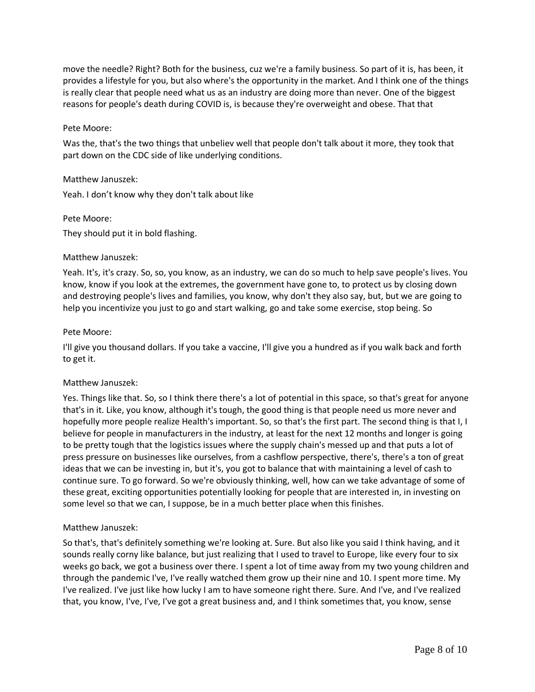move the needle? Right? Both for the business, cuz we're a family business. So part of it is, has been, it provides a lifestyle for you, but also where's the opportunity in the market. And I think one of the things is really clear that people need what us as an industry are doing more than never. One of the biggest reasons for people's death during COVID is, is because they're overweight and obese. That that

# Pete Moore:

Was the, that's the two things that unbeliev well that people don't talk about it more, they took that part down on the CDC side of like underlying conditions.

### Matthew Januszek:

Yeah. I don't know why they don't talk about like

### Pete Moore:

They should put it in bold flashing.

### Matthew Januszek:

Yeah. It's, it's crazy. So, so, you know, as an industry, we can do so much to help save people's lives. You know, know if you look at the extremes, the government have gone to, to protect us by closing down and destroying people's lives and families, you know, why don't they also say, but, but we are going to help you incentivize you just to go and start walking, go and take some exercise, stop being. So

#### Pete Moore:

I'll give you thousand dollars. If you take a vaccine, I'll give you a hundred as if you walk back and forth to get it.

# Matthew Januszek:

Yes. Things like that. So, so I think there there's a lot of potential in this space, so that's great for anyone that's in it. Like, you know, although it's tough, the good thing is that people need us more never and hopefully more people realize Health's important. So, so that's the first part. The second thing is that I, I believe for people in manufacturers in the industry, at least for the next 12 months and longer is going to be pretty tough that the logistics issues where the supply chain's messed up and that puts a lot of press pressure on businesses like ourselves, from a cashflow perspective, there's, there's a ton of great ideas that we can be investing in, but it's, you got to balance that with maintaining a level of cash to continue sure. To go forward. So we're obviously thinking, well, how can we take advantage of some of these great, exciting opportunities potentially looking for people that are interested in, in investing on some level so that we can, I suppose, be in a much better place when this finishes.

#### Matthew Januszek:

So that's, that's definitely something we're looking at. Sure. But also like you said I think having, and it sounds really corny like balance, but just realizing that I used to travel to Europe, like every four to six weeks go back, we got a business over there. I spent a lot of time away from my two young children and through the pandemic I've, I've really watched them grow up their nine and 10. I spent more time. My I've realized. I've just like how lucky I am to have someone right there. Sure. And I've, and I've realized that, you know, I've, I've, I've got a great business and, and I think sometimes that, you know, sense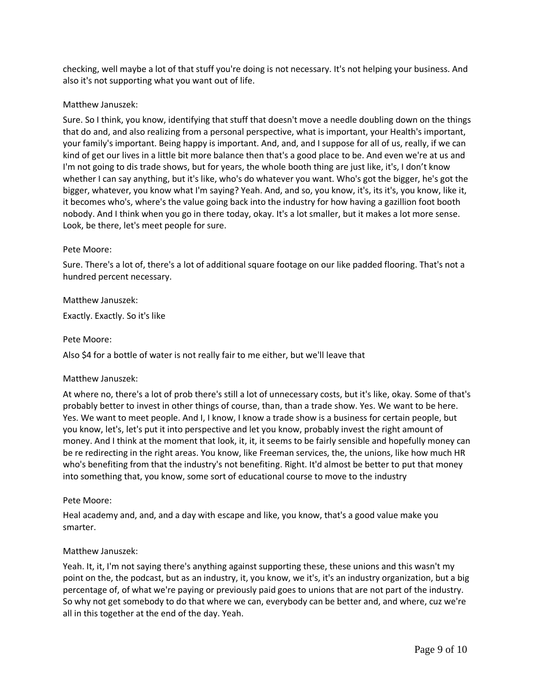checking, well maybe a lot of that stuff you're doing is not necessary. It's not helping your business. And also it's not supporting what you want out of life.

# Matthew Januszek:

Sure. So I think, you know, identifying that stuff that doesn't move a needle doubling down on the things that do and, and also realizing from a personal perspective, what is important, your Health's important, your family's important. Being happy is important. And, and, and I suppose for all of us, really, if we can kind of get our lives in a little bit more balance then that's a good place to be. And even we're at us and I'm not going to dis trade shows, but for years, the whole booth thing are just like, it's, I don't know whether I can say anything, but it's like, who's do whatever you want. Who's got the bigger, he's got the bigger, whatever, you know what I'm saying? Yeah. And, and so, you know, it's, its it's, you know, like it, it becomes who's, where's the value going back into the industry for how having a gazillion foot booth nobody. And I think when you go in there today, okay. It's a lot smaller, but it makes a lot more sense. Look, be there, let's meet people for sure.

# Pete Moore:

Sure. There's a lot of, there's a lot of additional square footage on our like padded flooring. That's not a hundred percent necessary.

# Matthew Januszek:

Exactly. Exactly. So it's like

### Pete Moore:

Also \$4 for a bottle of water is not really fair to me either, but we'll leave that

# Matthew Januszek:

At where no, there's a lot of prob there's still a lot of unnecessary costs, but it's like, okay. Some of that's probably better to invest in other things of course, than, than a trade show. Yes. We want to be here. Yes. We want to meet people. And I, I know, I know a trade show is a business for certain people, but you know, let's, let's put it into perspective and let you know, probably invest the right amount of money. And I think at the moment that look, it, it, it seems to be fairly sensible and hopefully money can be re redirecting in the right areas. You know, like Freeman services, the, the unions, like how much HR who's benefiting from that the industry's not benefiting. Right. It'd almost be better to put that money into something that, you know, some sort of educational course to move to the industry

# Pete Moore:

Heal academy and, and, and a day with escape and like, you know, that's a good value make you smarter.

#### Matthew Januszek:

Yeah. It, it, I'm not saying there's anything against supporting these, these unions and this wasn't my point on the, the podcast, but as an industry, it, you know, we it's, it's an industry organization, but a big percentage of, of what we're paying or previously paid goes to unions that are not part of the industry. So why not get somebody to do that where we can, everybody can be better and, and where, cuz we're all in this together at the end of the day. Yeah.